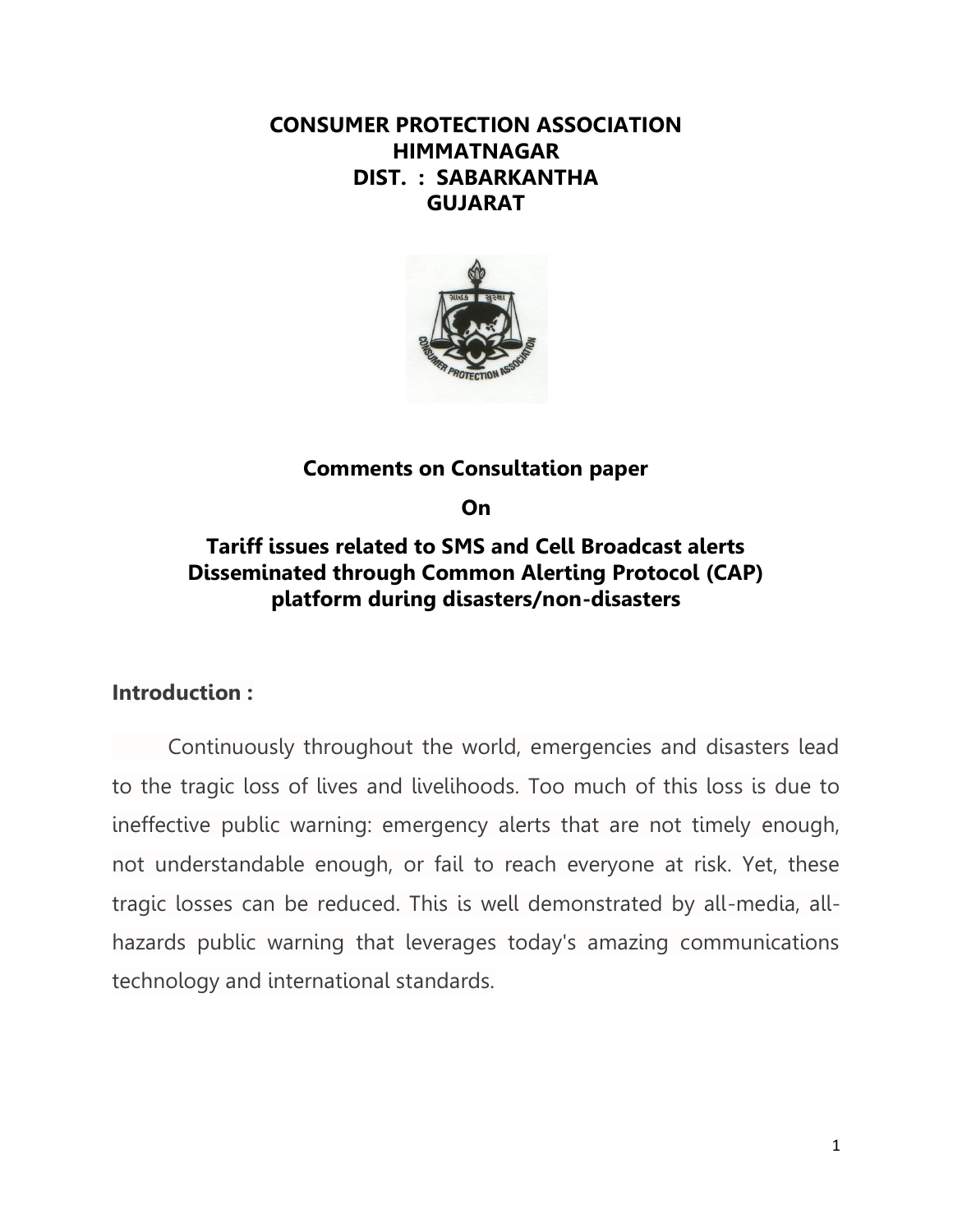## **CONSUMER PROTECTION ASSOCIATION HIMMATNAGAR DIST. : SABARKANTHA GUJARAT**



## **Comments on Consultation paper**

**On**

# **Tariff issues related to SMS and Cell Broadcast alerts Disseminated through Common Alerting Protocol (CAP) platform during disasters/non-disasters**

## **Introduction :**

Continuously throughout the world, emergencies and disasters lead to the tragic loss of lives and livelihoods. Too much of this loss is due to ineffective public warning: emergency alerts that are not timely enough, not understandable enough, or fail to reach everyone at risk. Yet, these tragic losses can be reduced. This is well demonstrated by all-media, allhazards public warning that leverages today's amazing communications technology and international standards.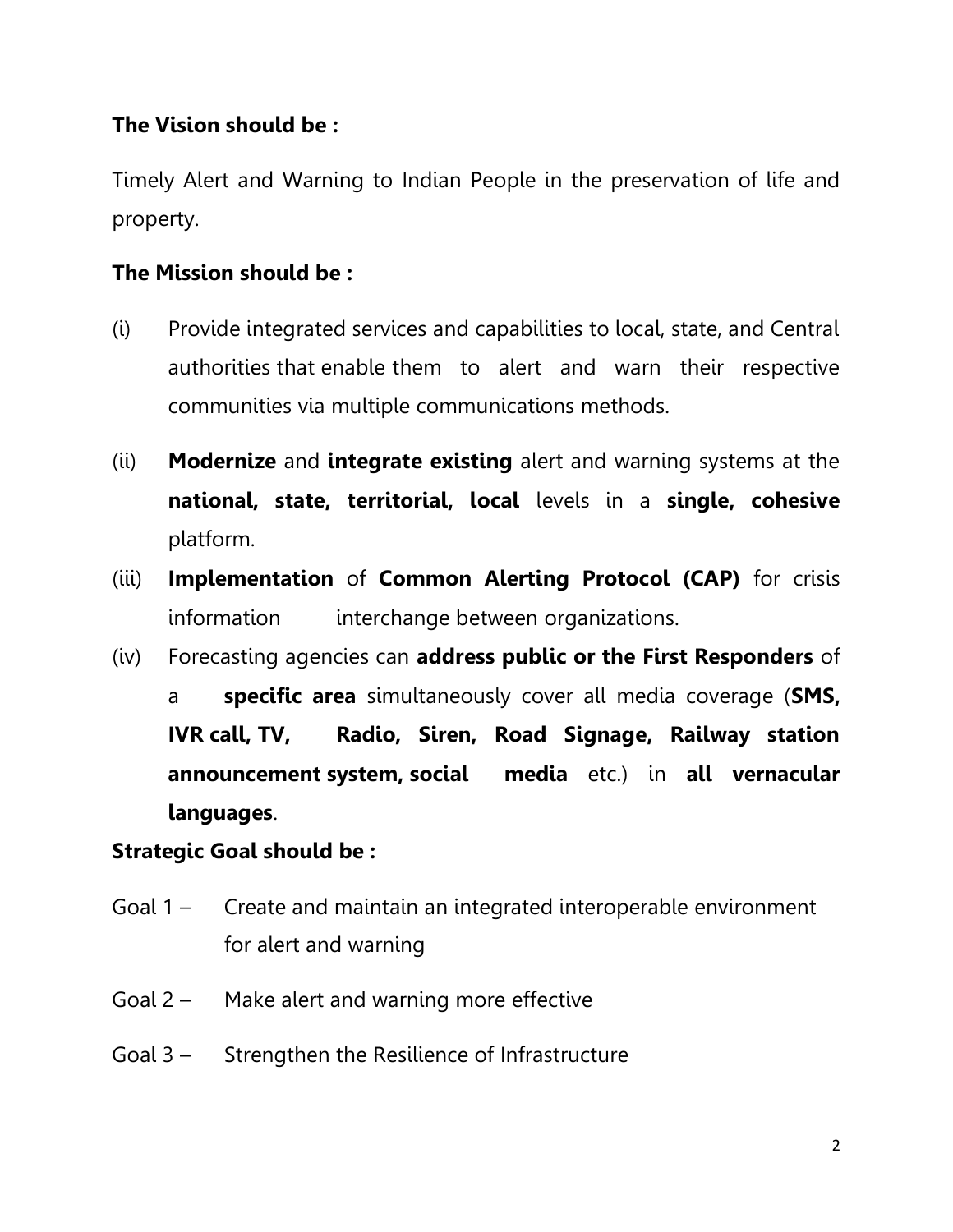## **The Vision should be :**

Timely Alert and Warning to Indian People in the preservation of life and property.

## **The Mission should be :**

- (i) Provide integrated services and capabilities to local, state, and Central authorities that enable them to alert and warn their respective communities via multiple communications methods.
- (ii) **Modernize** and **integrate existing** alert and warning systems at the **national, state, territorial, local** levels in a **single, cohesive**  platform.
- (iii) **Implementation** of **Common Alerting Protocol (CAP)** for crisis information interchange between organizations.
- (iv) Forecasting agencies can **address public or the First Responders** of a **specific area** simultaneously cover all media coverage (**SMS, IVR call, TV, Radio, Siren, Road Signage, Railway station announcement system, social media** etc.) in **all vernacular languages**.

## **Strategic Goal should be :**

- Goal 1 Create and maintain an integrated interoperable environment for alert and warning
- Goal 2 Make alert and warning more effective
- Goal 3 Strengthen the Resilience of Infrastructure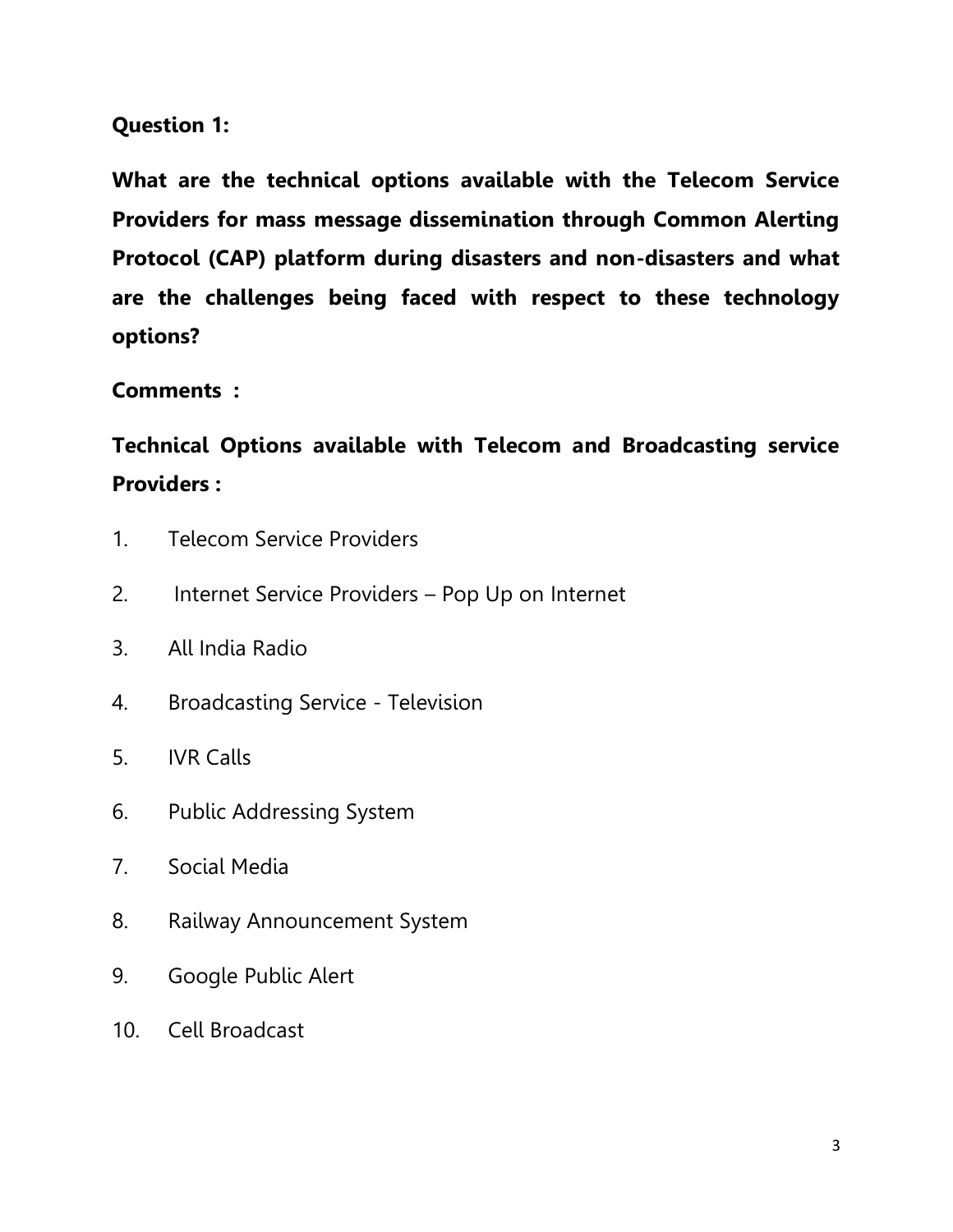## **Question 1:**

**What are the technical options available with the Telecom Service Providers for mass message dissemination through Common Alerting Protocol (CAP) platform during disasters and non-disasters and what are the challenges being faced with respect to these technology options?** 

**Comments :**

**Technical Options available with Telecom and Broadcasting service Providers :** 

- 1. Telecom Service Providers
- 2. Internet Service Providers Pop Up on Internet
- 3. All India Radio
- 4. Broadcasting Service Television
- 5. IVR Calls
- 6. Public Addressing System
- 7. Social Media
- 8. Railway Announcement System
- 9. Google Public Alert
- 10. Cell Broadcast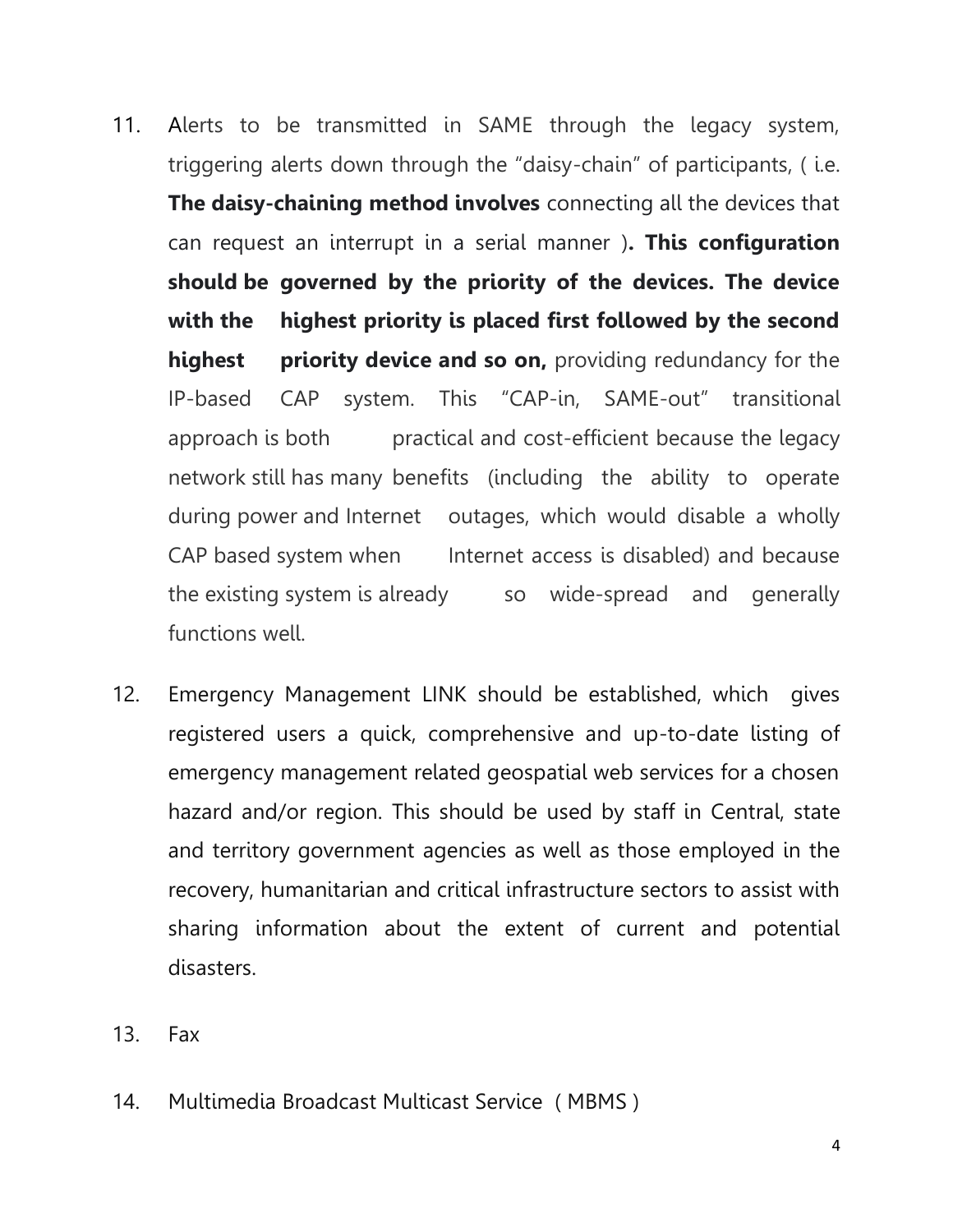- 11. Alerts to be transmitted in SAME through the legacy system, triggering alerts down through the "daisy-chain" of participants, ( i.e. **The daisy-chaining method involves** connecting all the devices that can request an interrupt in a serial manner )**. This configuration should be governed by the priority of the devices. The device with the highest priority is placed first followed by the second highest priority device and so on,** providing redundancy for the IP-based CAP system. This "CAP-in, SAME-out" transitional approach is both practical and cost-efficient because the legacy network still has many benefits (including the ability to operate during power and Internet outages, which would disable a wholly CAP based system when Internet access is disabled) and because the existing system is already so wide-spread and generally functions well.
- 12. Emergency Management LINK should be established, which gives registered users a quick, comprehensive and up-to-date listing of emergency management related geospatial web services for a chosen hazard and/or region. This should be used by staff in Central, state and territory government agencies as well as those employed in the recovery, humanitarian and critical infrastructure sectors to assist with sharing information about the extent of current and potential disasters.
- 13. Fax
- 14. Multimedia Broadcast Multicast Service ( MBMS )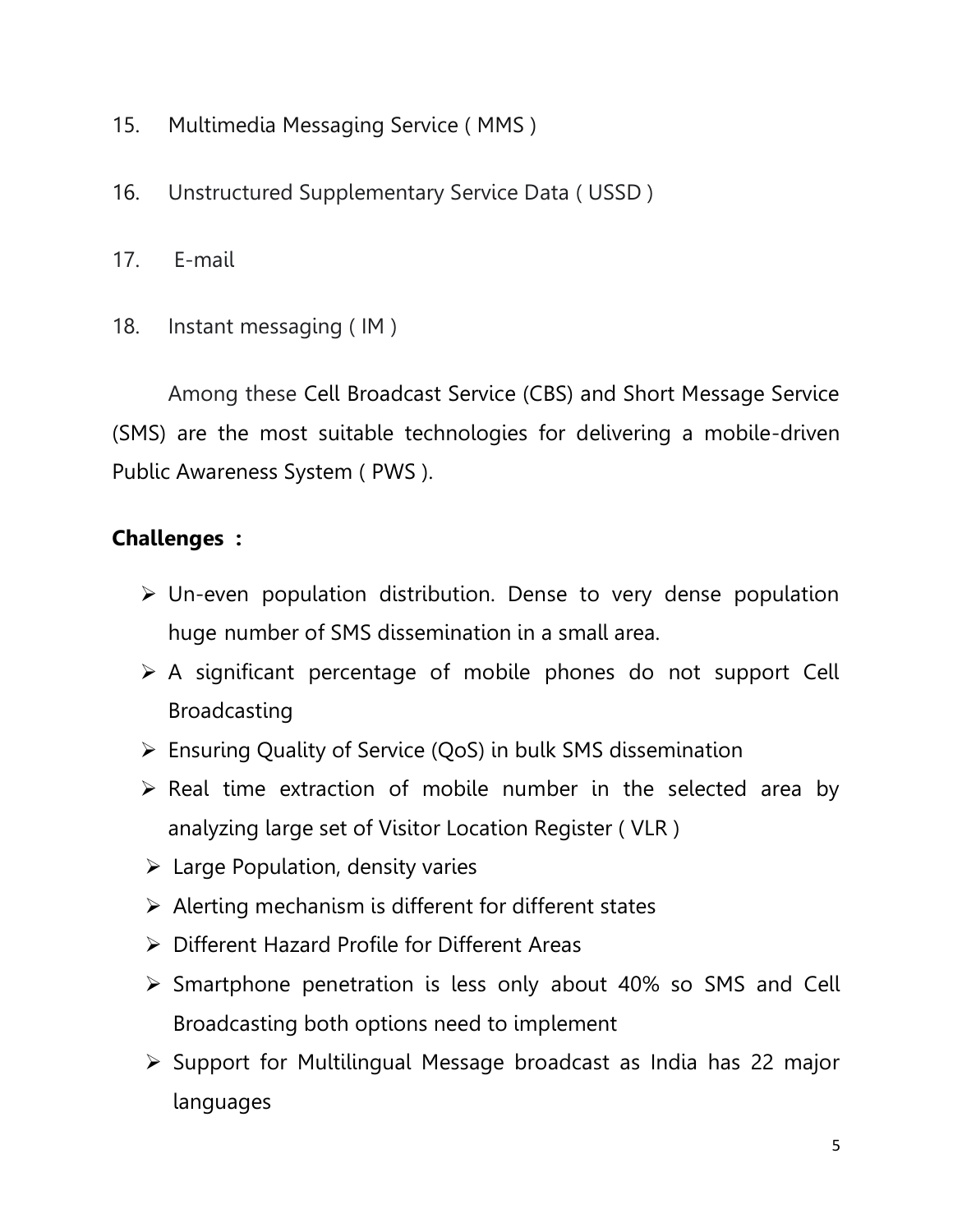- 15. Multimedia Messaging Service ( MMS )
- 16. Unstructured Supplementary Service Data ( USSD )
- 17. E-mail
- 18. Instant messaging ( IM )

Among these Cell Broadcast Service (CBS) and Short Message Service (SMS) are the most suitable technologies for delivering a mobile-driven Public Awareness System ( PWS ).

# **Challenges :**

- $\triangleright$  Un-even population distribution. Dense to very dense population huge number of SMS dissemination in a small area.
- $\triangleright$  A significant percentage of mobile phones do not support Cell Broadcasting
- $\triangleright$  Ensuring Quality of Service (QoS) in bulk SMS dissemination
- $\triangleright$  Real time extraction of mobile number in the selected area by analyzing large set of Visitor Location Register ( VLR )
- $\triangleright$  Large Population, density varies
- $\triangleright$  Alerting mechanism is different for different states
- Different Hazard Profile for Different Areas
- $\triangleright$  Smartphone penetration is less only about 40% so SMS and Cell Broadcasting both options need to implement
- $\triangleright$  Support for Multilingual Message broadcast as India has 22 major languages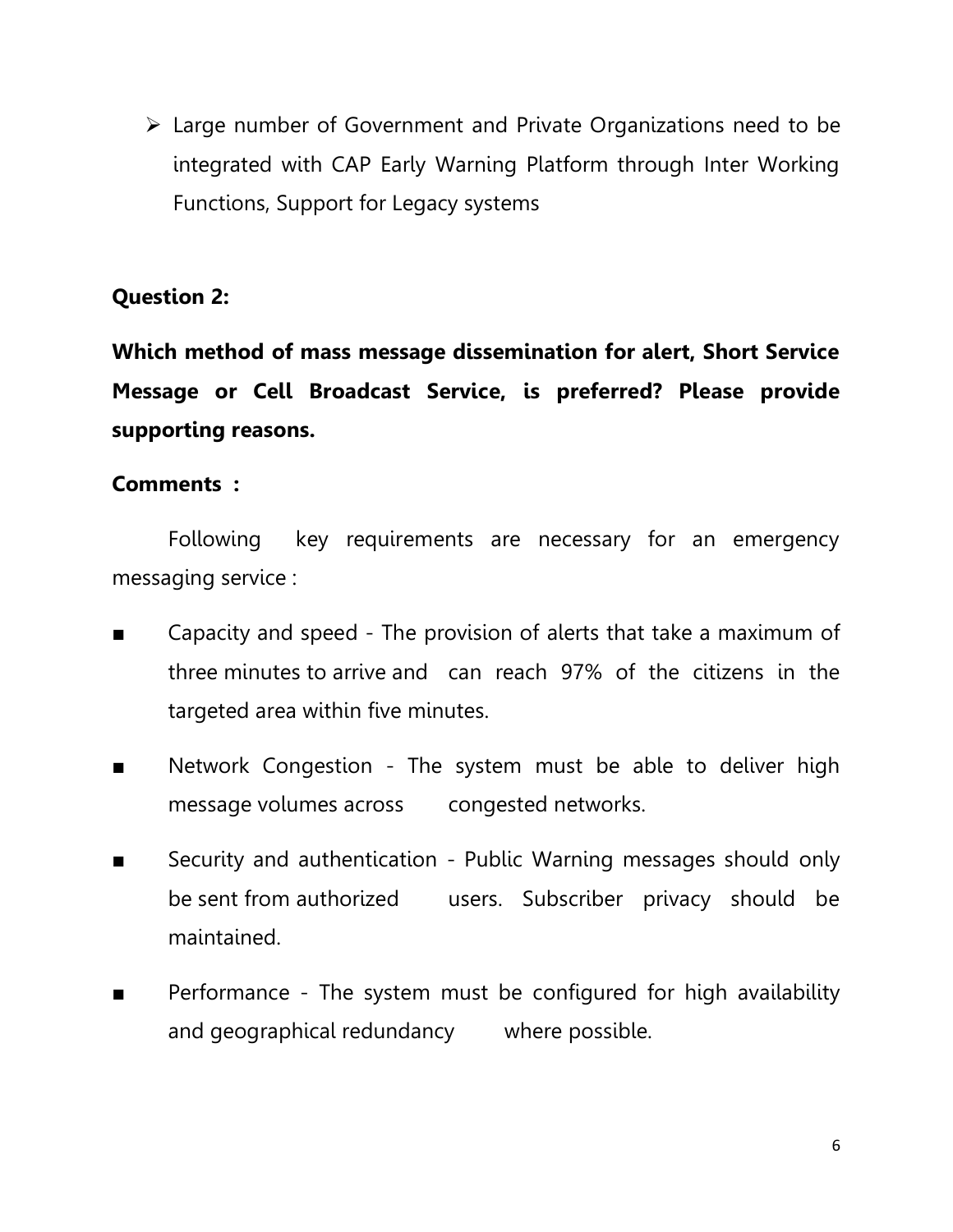Large number of Government and Private Organizations need to be integrated with CAP Early Warning Platform through Inter Working Functions, Support for Legacy systems

## **Question 2:**

**Which method of mass message dissemination for alert, Short Service Message or Cell Broadcast Service, is preferred? Please provide supporting reasons.** 

## **Comments :**

Following key requirements are necessary for an emergency messaging service :

- Capacity and speed The provision of alerts that take a maximum of three minutes to arrive and can reach 97% of the citizens in the targeted area within five minutes.
- Network Congestion The system must be able to deliver high message volumes across congested networks.
- Security and authentication Public Warning messages should only be sent from authorized users. Subscriber privacy should be maintained.
- Performance The system must be configured for high availability and geographical redundancy where possible.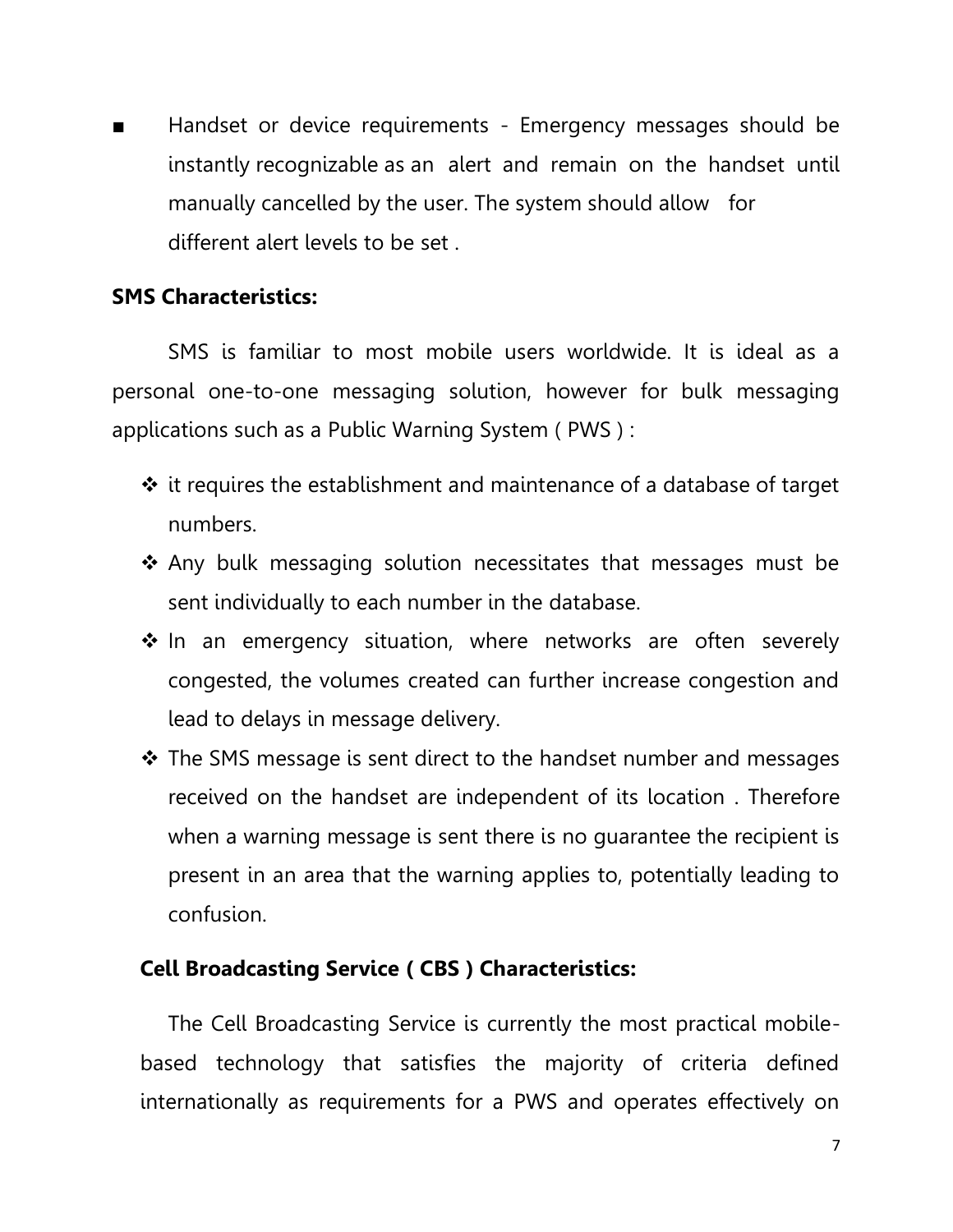■ Handset or device requirements - Emergency messages should be instantly recognizable as an alert and remain on the handset until manually cancelled by the user. The system should allow for different alert levels to be set .

### **SMS Characteristics:**

SMS is familiar to most mobile users worldwide. It is ideal as a personal one-to-one messaging solution, however for bulk messaging applications such as a Public Warning System ( PWS ) :

- $\div$  it requires the establishment and maintenance of a database of target numbers.
- $\cdot$  Any bulk messaging solution necessitates that messages must be sent individually to each number in the database.
- $\cdot$  In an emergency situation, where networks are often severely congested, the volumes created can further increase congestion and lead to delays in message delivery.
- The SMS message is sent direct to the handset number and messages received on the handset are independent of its location . Therefore when a warning message is sent there is no guarantee the recipient is present in an area that the warning applies to, potentially leading to confusion.

## **Cell Broadcasting Service ( CBS ) Characteristics:**

The Cell Broadcasting Service is currently the most practical mobilebased technology that satisfies the majority of criteria defined internationally as requirements for a PWS and operates effectively on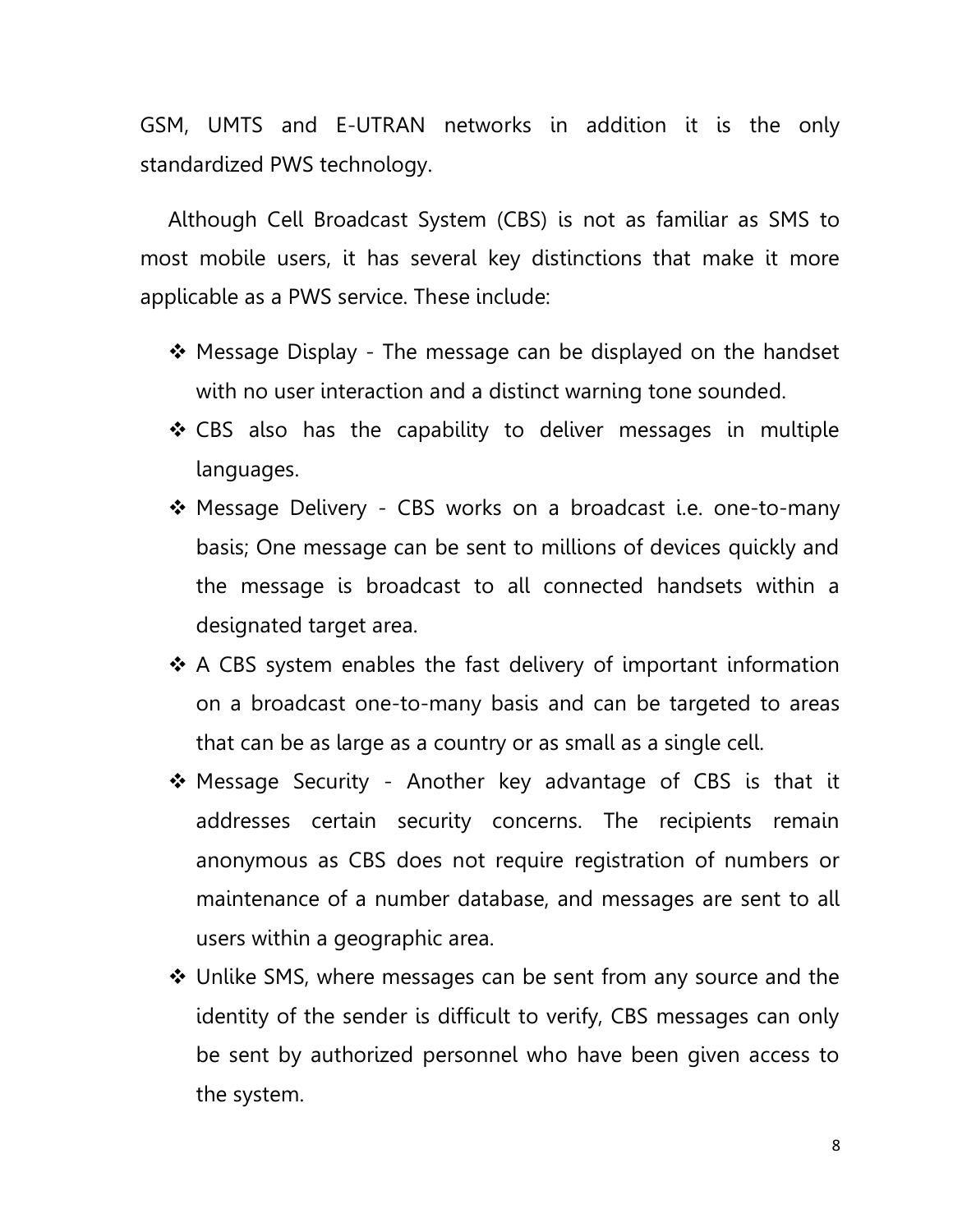GSM, UMTS and E-UTRAN networks in addition it is the only standardized PWS technology.

Although Cell Broadcast System (CBS) is not as familiar as SMS to most mobile users, it has several key distinctions that make it more applicable as a PWS service. These include:

- ❖ Message Display The message can be displayed on the handset with no user interaction and a distinct warning tone sounded.
- \* CBS also has the capability to deliver messages in multiple languages.
- ❖ Message Delivery CBS works on a broadcast i.e. one-to-many basis; One message can be sent to millions of devices quickly and the message is broadcast to all connected handsets within a designated target area.
- $\cdot$  A CBS system enables the fast delivery of important information on a broadcast one-to-many basis and can be targeted to areas that can be as large as a country or as small as a single cell.
- Message Security Another key advantage of CBS is that it addresses certain security concerns. The recipients remain anonymous as CBS does not require registration of numbers or maintenance of a number database, and messages are sent to all users within a geographic area.
- Unlike SMS, where messages can be sent from any source and the identity of the sender is difficult to verify, CBS messages can only be sent by authorized personnel who have been given access to the system.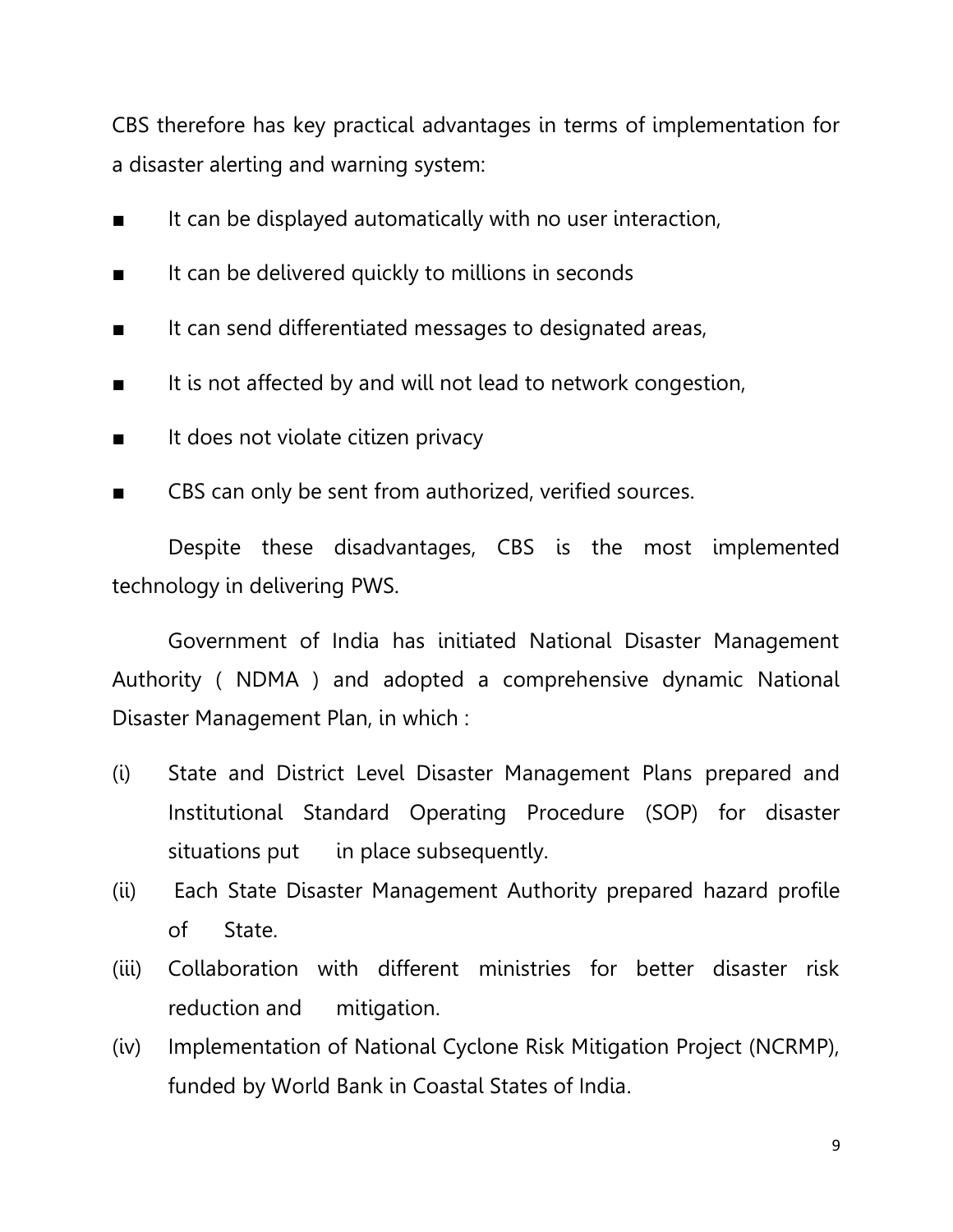CBS therefore has key practical advantages in terms of implementation for a disaster alerting and warning system:

- It can be displayed automatically with no user interaction,
- It can be delivered quickly to millions in seconds
- It can send differentiated messages to designated areas,
- It is not affected by and will not lead to network congestion,
- It does not violate citizen privacy
- CBS can only be sent from authorized, verified sources.

Despite these disadvantages, CBS is the most implemented technology in delivering PWS.

Government of India has initiated National Disaster Management Authority ( NDMA ) and adopted a comprehensive dynamic National Disaster Management Plan, in which :

- (i) State and District Level Disaster Management Plans prepared and Institutional Standard Operating Procedure (SOP) for disaster situations put in place subsequently.
- (ii) Each State Disaster Management Authority prepared hazard profile of State.
- (iii) Collaboration with different ministries for better disaster risk reduction and mitigation.
- (iv) Implementation of National Cyclone Risk Mitigation Project (NCRMP), funded by World Bank in Coastal States of India.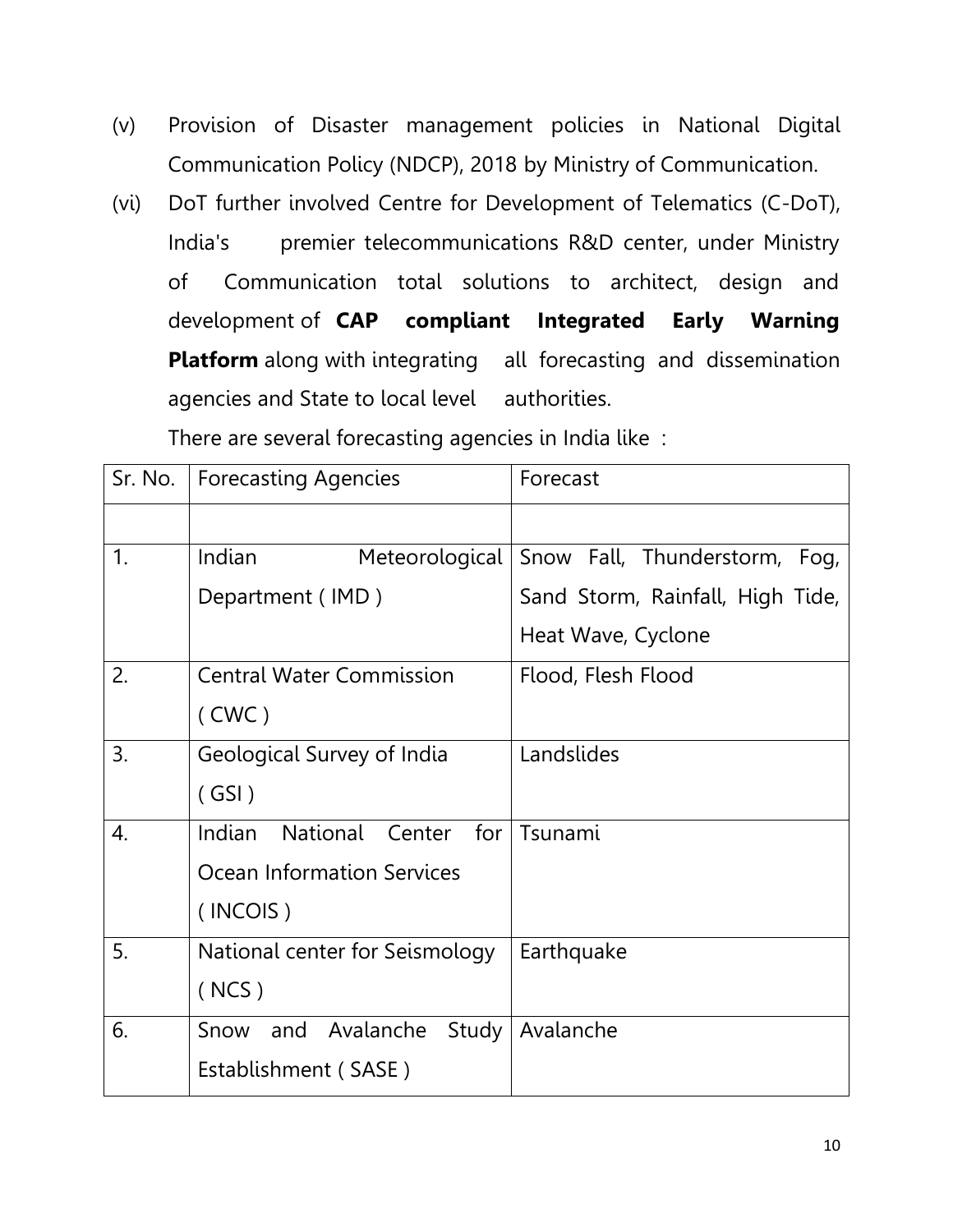- (v) Provision of Disaster management policies in National Digital Communication Policy (NDCP), 2018 by Ministry of Communication.
- (vi) DoT further involved Centre for Development of Telematics (C-DoT), India's premier telecommunications R&D center, under Ministry of Communication total solutions to architect, design and development of **CAP compliant Integrated Early Warning Platform** along with integrating all forecasting and dissemination agencies and State to local level authorities.

There are several forecasting agencies in India like :

| Sr. No.        | <b>Forecasting Agencies</b>                      | Forecast                         |
|----------------|--------------------------------------------------|----------------------------------|
|                |                                                  |                                  |
| $\mathbf{1}$ . | Indian<br>Meteorological                         | Snow Fall, Thunderstorm, Fog,    |
|                | Department (IMD)                                 | Sand Storm, Rainfall, High Tide, |
|                |                                                  | Heat Wave, Cyclone               |
| 2.             | <b>Central Water Commission</b>                  | Flood, Flesh Flood               |
|                | (CWC)                                            |                                  |
| 3.             | Geological Survey of India                       | Landslides                       |
|                | (GSI)                                            |                                  |
| 4.             | National<br>Indian<br>for <sub>l</sub><br>Center | Tsunami                          |
|                | <b>Ocean Information Services</b>                |                                  |
|                | (INCOIS)                                         |                                  |
| 5.             | National center for Seismology                   | Earthquake                       |
|                | (NCS)                                            |                                  |
| 6.             | Avalanche<br>Study<br>and<br>Snow                | Avalanche                        |
|                | Establishment (SASE)                             |                                  |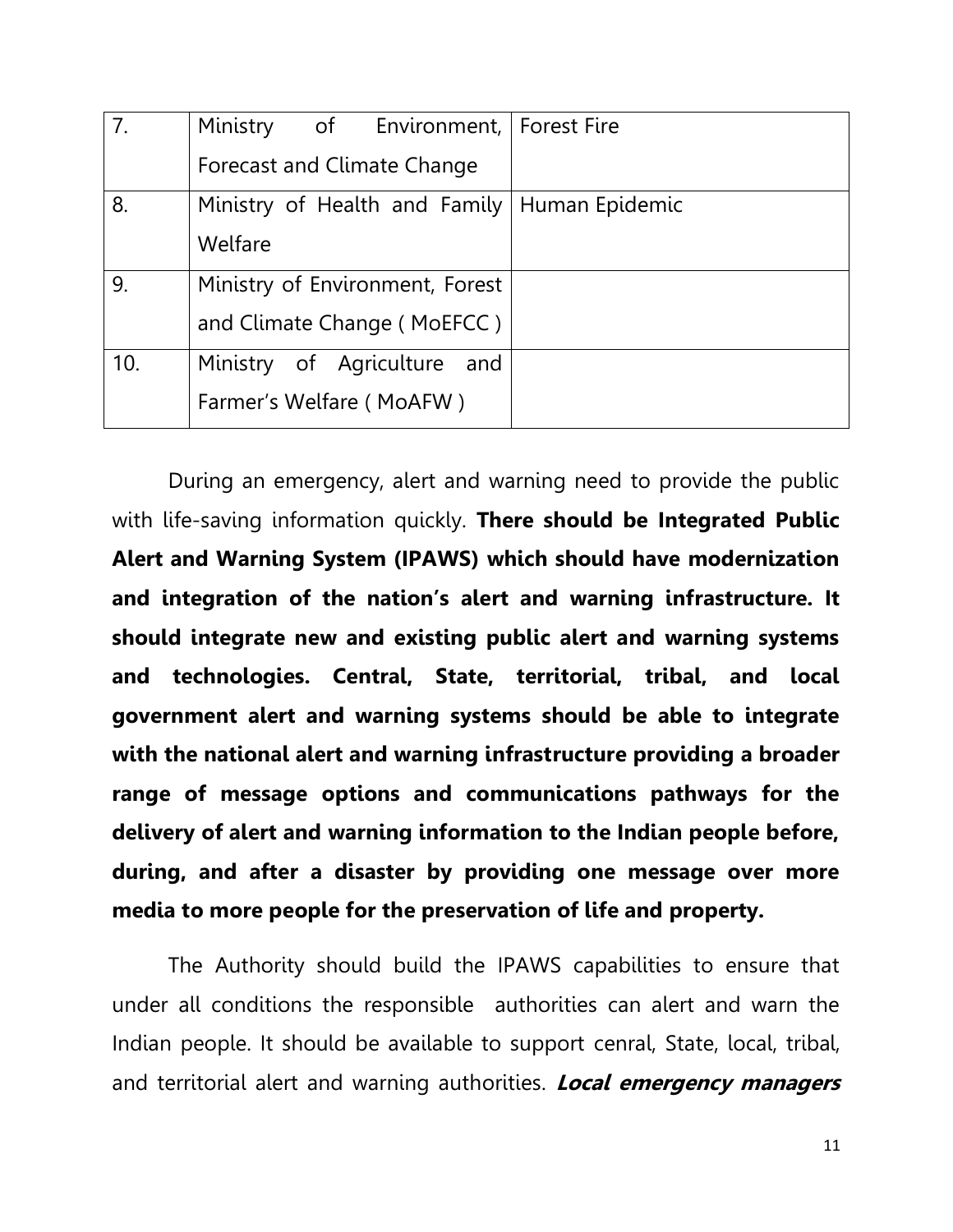| 7.  | Ministry of Environment, Forest Fire           |  |
|-----|------------------------------------------------|--|
|     | Forecast and Climate Change                    |  |
| 8.  | Ministry of Health and Family   Human Epidemic |  |
|     | Welfare                                        |  |
| 9.  | Ministry of Environment, Forest                |  |
|     | and Climate Change (MoEFCC)                    |  |
| 10. | Ministry of Agriculture<br>and                 |  |
|     | Farmer's Welfare (MoAFW)                       |  |

During an emergency, alert and warning need to provide the public with life-saving information quickly. **There should be Integrated Public Alert and Warning System (IPAWS) which should have modernization and integration of the nation's alert and warning infrastructure. It should integrate new and existing public alert and warning systems and technologies. Central, State, territorial, tribal, and local government alert and warning systems should be able to integrate with the national alert and warning infrastructure providing a broader range of message options and communications pathways for the delivery of alert and warning information to the Indian people before, during, and after a disaster by providing one message over more media to more people for the preservation of life and property.**

The Authority should build the IPAWS capabilities to ensure that under all conditions the responsible authorities can alert and warn the Indian people. It should be available to support cenral, State, local, tribal, and territorial alert and warning authorities. **Local emergency managers**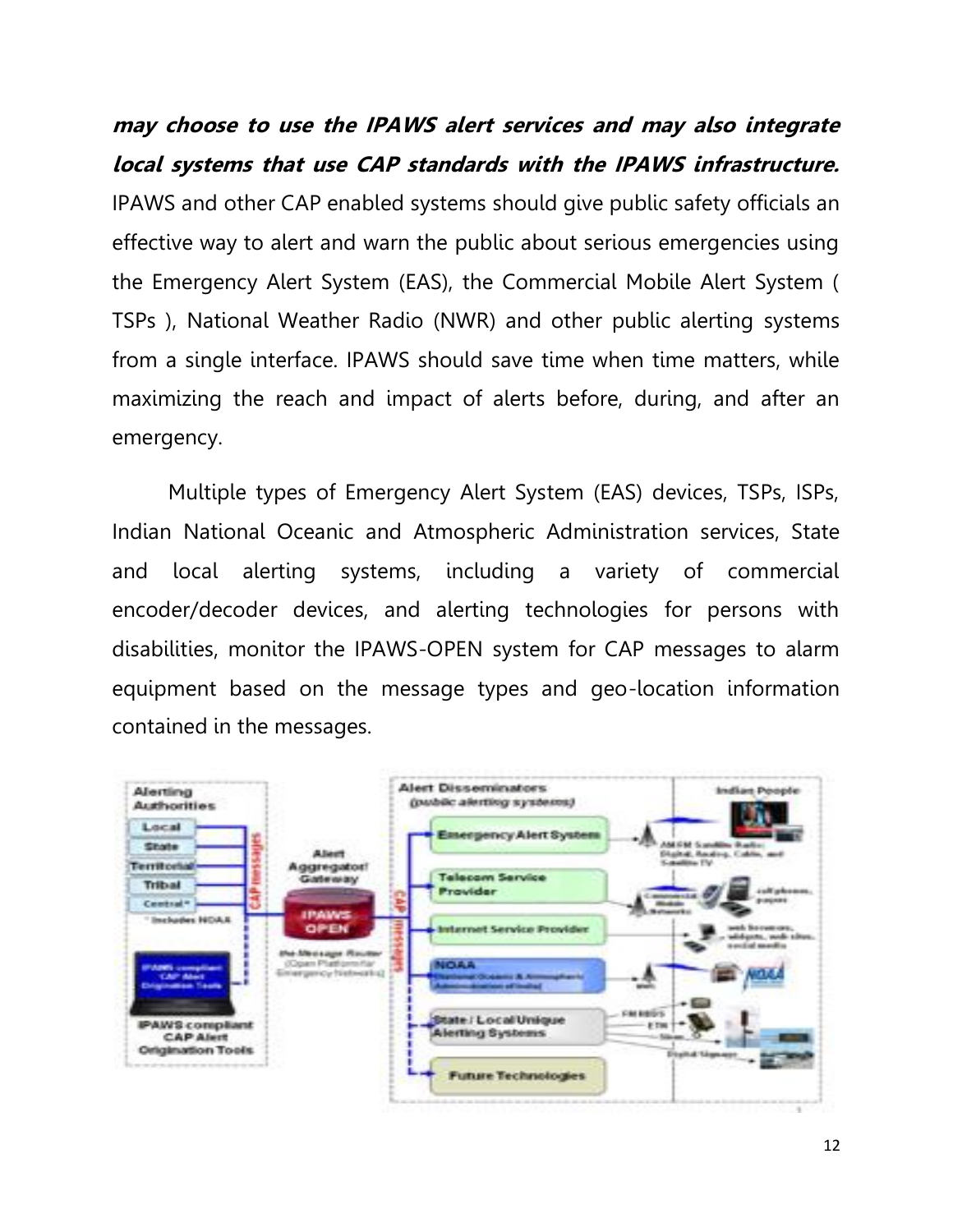**may choose to use the IPAWS alert services and may also integrate local systems that use CAP standards with the IPAWS infrastructure.** IPAWS and other CAP enabled systems should give public safety officials an effective way to alert and warn the public about serious emergencies using the Emergency Alert System (EAS), the Commercial Mobile Alert System ( TSPs ), National Weather Radio (NWR) and other public alerting systems from a single interface. IPAWS should save time when time matters, while maximizing the reach and impact of alerts before, during, and after an emergency.

Multiple types of Emergency Alert System (EAS) devices, TSPs, ISPs, Indian National Oceanic and Atmospheric Administration services, State and local alerting systems, including a variety of commercial encoder/decoder devices, and alerting technologies for persons with disabilities, monitor the IPAWS-OPEN system for CAP messages to alarm equipment based on the message types and geo-location information contained in the messages.

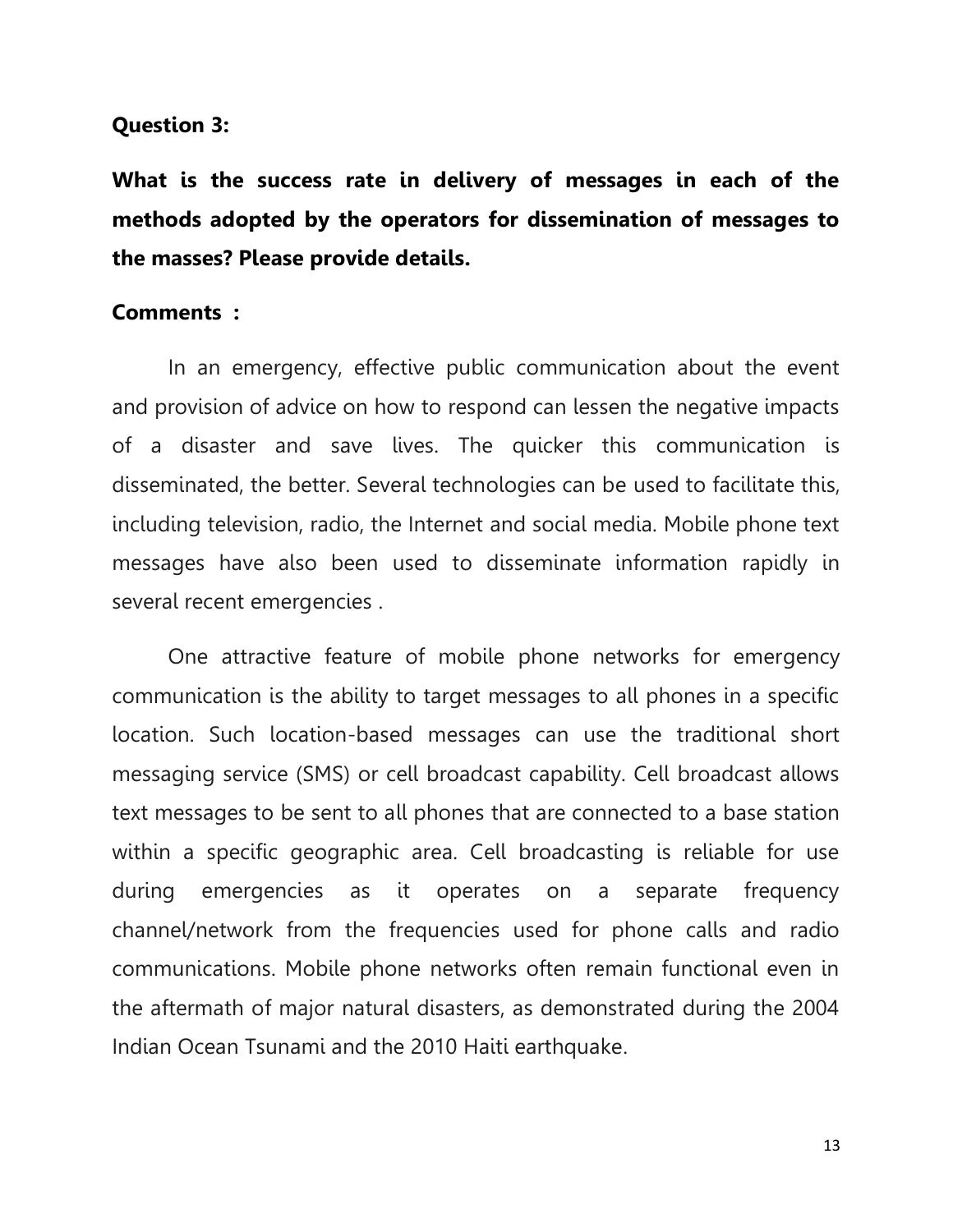#### **Question 3:**

**What is the success rate in delivery of messages in each of the methods adopted by the operators for dissemination of messages to the masses? Please provide details.** 

#### **Comments :**

In an emergency, effective public communication about the event and provision of advice on how to respond can lessen the negative impacts of a disaster and save lives. The quicker this communication is disseminated, the better. Several technologies can be used to facilitate this, including television, radio, the Internet and social media. Mobile phone text messages have also been used to disseminate information rapidly in several recent emergencies .

One attractive feature of mobile phone networks for emergency communication is the ability to target messages to all phones in a specific location. Such location-based messages can use the traditional short messaging service (SMS) or cell broadcast capability. Cell broadcast allows text messages to be sent to all phones that are connected to a base station within a specific geographic area. Cell broadcasting is reliable for use during emergencies as it operates on a separate frequency channel/network from the frequencies used for phone calls and radio communications. Mobile phone networks often remain functional even in the aftermath of major natural disasters, as demonstrated during the 2004 Indian Ocean Tsunami and the 2010 Haiti earthquake.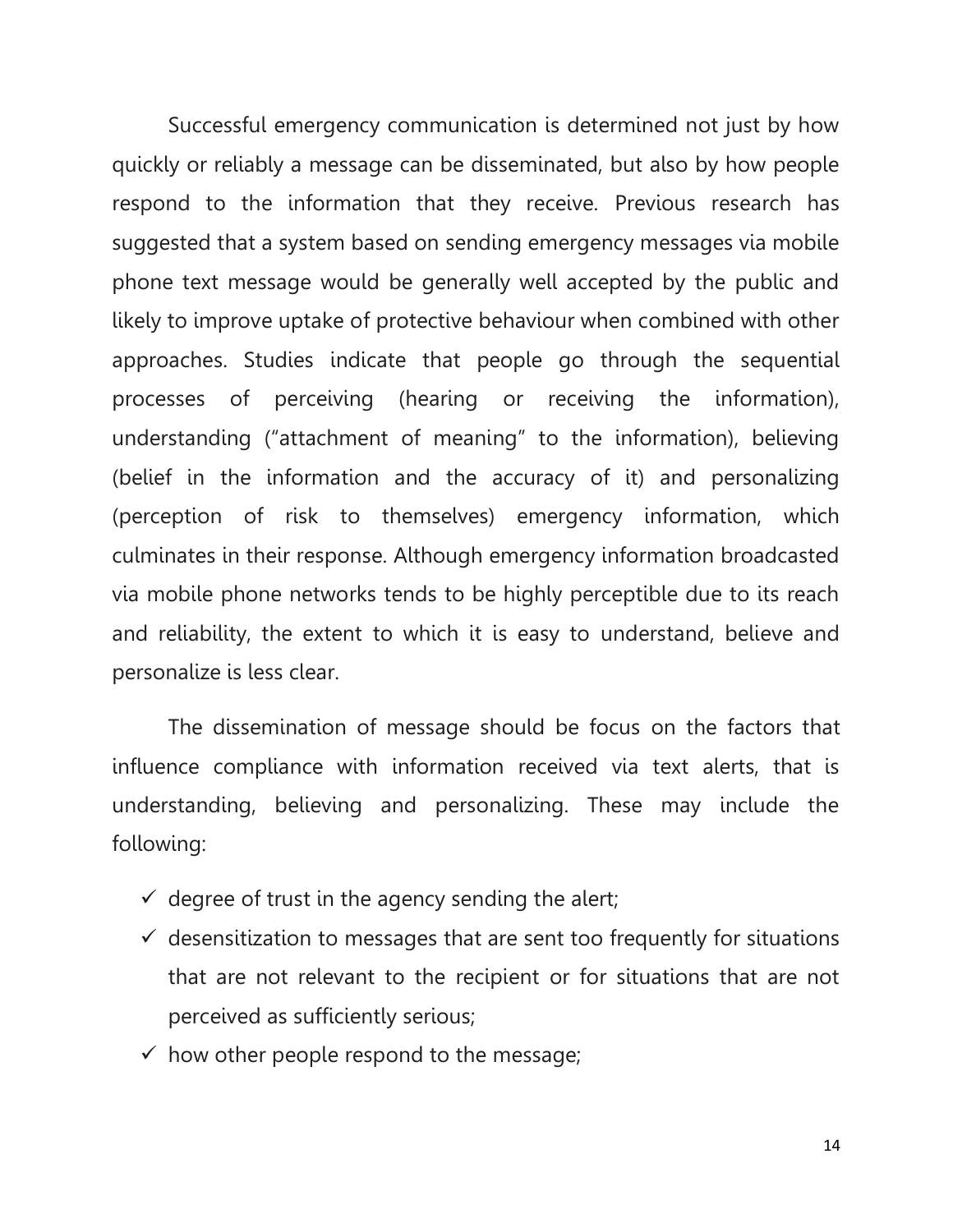Successful emergency communication is determined not just by how quickly or reliably a message can be disseminated, but also by how people respond to the information that they receive. Previous research has suggested that a system based on sending emergency messages via mobile phone text message would be generally well accepted by the public and likely to improve uptake of protective behaviour when combined with other approaches. Studies indicate that people go through the sequential processes of perceiving (hearing or receiving the information), understanding ("attachment of meaning" to the information), believing (belief in the information and the accuracy of it) and personalizing (perception of risk to themselves) emergency information, which culminates in their response. Although emergency information broadcasted via mobile phone networks tends to be highly perceptible due to its reach and reliability, the extent to which it is easy to understand, believe and personalize is less clear.

The dissemination of message should be focus on the factors that influence compliance with information received via text alerts, that is understanding, believing and personalizing. These may include the following:

- $\checkmark$  degree of trust in the agency sending the alert;
- $\checkmark$  desensitization to messages that are sent too frequently for situations that are not relevant to the recipient or for situations that are not perceived as sufficiently serious;
- $\checkmark$  how other people respond to the message;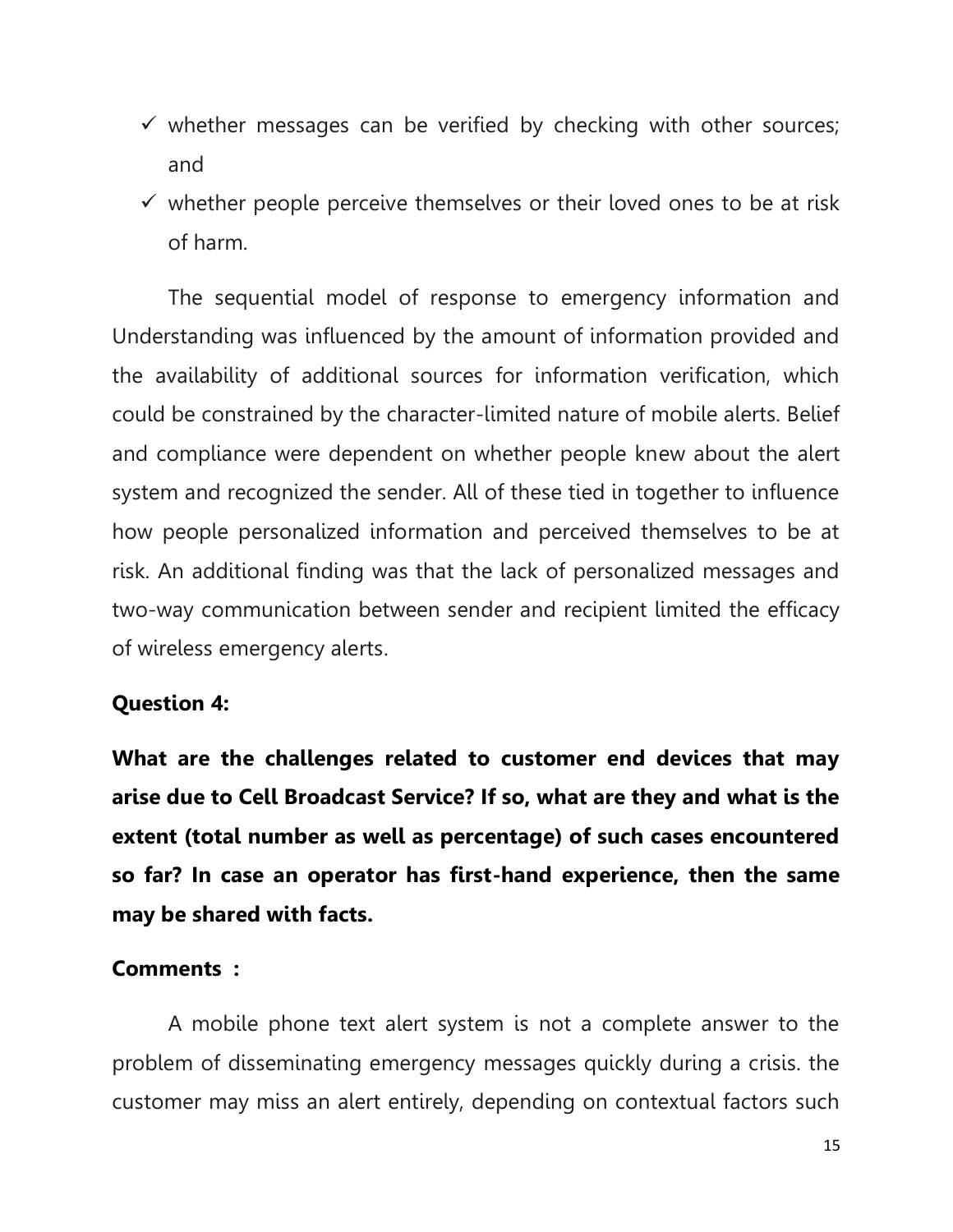- $\checkmark$  whether messages can be verified by checking with other sources; and
- $\checkmark$  whether people perceive themselves or their loved ones to be at risk of harm.

The sequential model of response to emergency information and Understanding was influenced by the amount of information provided and the availability of additional sources for information verification, which could be constrained by the character-limited nature of mobile alerts. Belief and compliance were dependent on whether people knew about the alert system and recognized the sender. All of these tied in together to influence how people personalized information and perceived themselves to be at risk. An additional finding was that the lack of personalized messages and two-way communication between sender and recipient limited the efficacy of wireless emergency alerts.

## **Question 4:**

**What are the challenges related to customer end devices that may arise due to Cell Broadcast Service? If so, what are they and what is the extent (total number as well as percentage) of such cases encountered so far? In case an operator has first-hand experience, then the same may be shared with facts.**

### **Comments :**

A mobile phone text alert system is not a complete answer to the problem of disseminating emergency messages quickly during a crisis. the customer may miss an alert entirely, depending on contextual factors such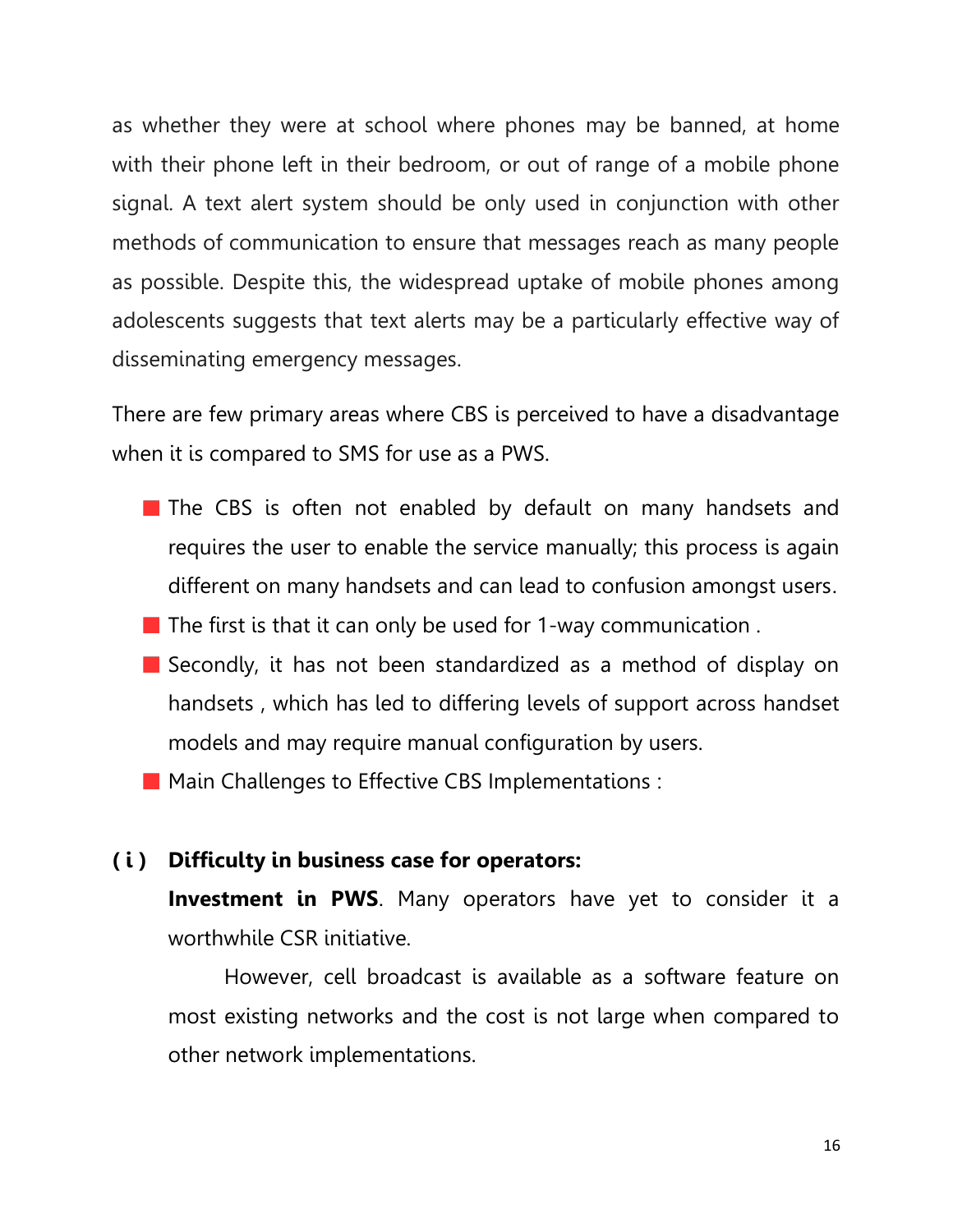as whether they were at school where phones may be banned, at home with their phone left in their bedroom, or out of range of a mobile phone signal. A text alert system should be only used in conjunction with other methods of communication to ensure that messages reach as many people as possible. Despite this, the widespread uptake of mobile phones among adolescents suggests that text alerts may be a particularly effective way of disseminating emergency messages.

There are few primary areas where CBS is perceived to have a disadvantage when it is compared to SMS for use as a PWS.

- $\blacksquare$  The CBS is often not enabled by default on many handsets and requires the user to enable the service manually; this process is again different on many handsets and can lead to confusion amongst users.
- $\blacksquare$  The first is that it can only be used for 1-way communication.
- Secondly, it has not been standardized as a method of display on handsets , which has led to differing levels of support across handset models and may require manual configuration by users.
- **Main Challenges to Effective CBS Implementations:**

## **( i ) Difficulty in business case for operators:**

**Investment in PWS**. Many operators have yet to consider it a worthwhile CSR initiative.

However, cell broadcast is available as a software feature on most existing networks and the cost is not large when compared to other network implementations.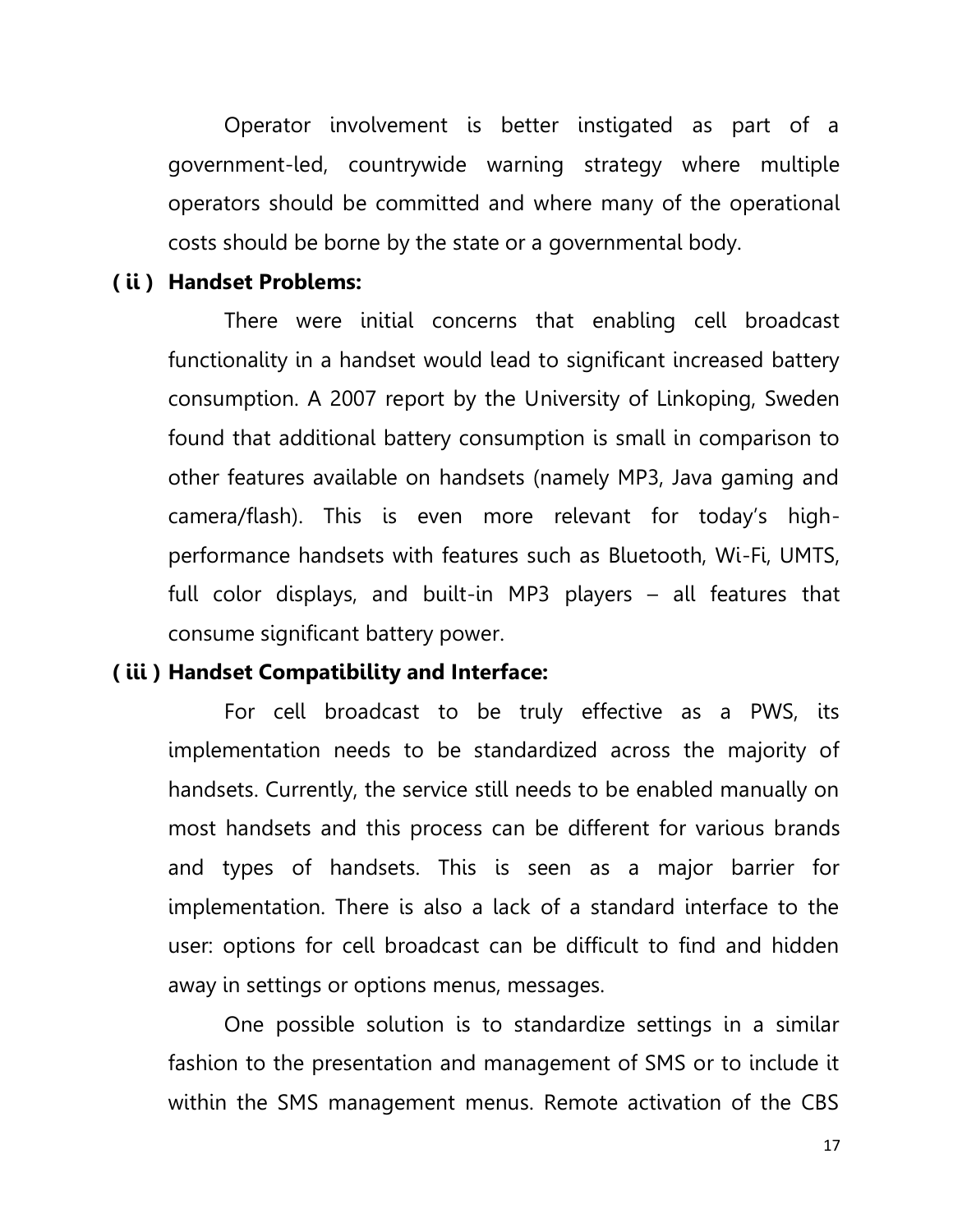Operator involvement is better instigated as part of a government-led, countrywide warning strategy where multiple operators should be committed and where many of the operational costs should be borne by the state or a governmental body.

#### **( ii ) Handset Problems:**

There were initial concerns that enabling cell broadcast functionality in a handset would lead to significant increased battery consumption. A 2007 report by the University of Linkoping, Sweden found that additional battery consumption is small in comparison to other features available on handsets (namely MP3, Java gaming and camera/flash). This is even more relevant for today's highperformance handsets with features such as Bluetooth, Wi-Fi, UMTS, full color displays, and built-in MP3 players – all features that consume significant battery power.

### **( iii ) Handset Compatibility and Interface:**

For cell broadcast to be truly effective as a PWS, its implementation needs to be standardized across the majority of handsets. Currently, the service still needs to be enabled manually on most handsets and this process can be different for various brands and types of handsets. This is seen as a major barrier for implementation. There is also a lack of a standard interface to the user: options for cell broadcast can be difficult to find and hidden away in settings or options menus, messages.

One possible solution is to standardize settings in a similar fashion to the presentation and management of SMS or to include it within the SMS management menus. Remote activation of the CBS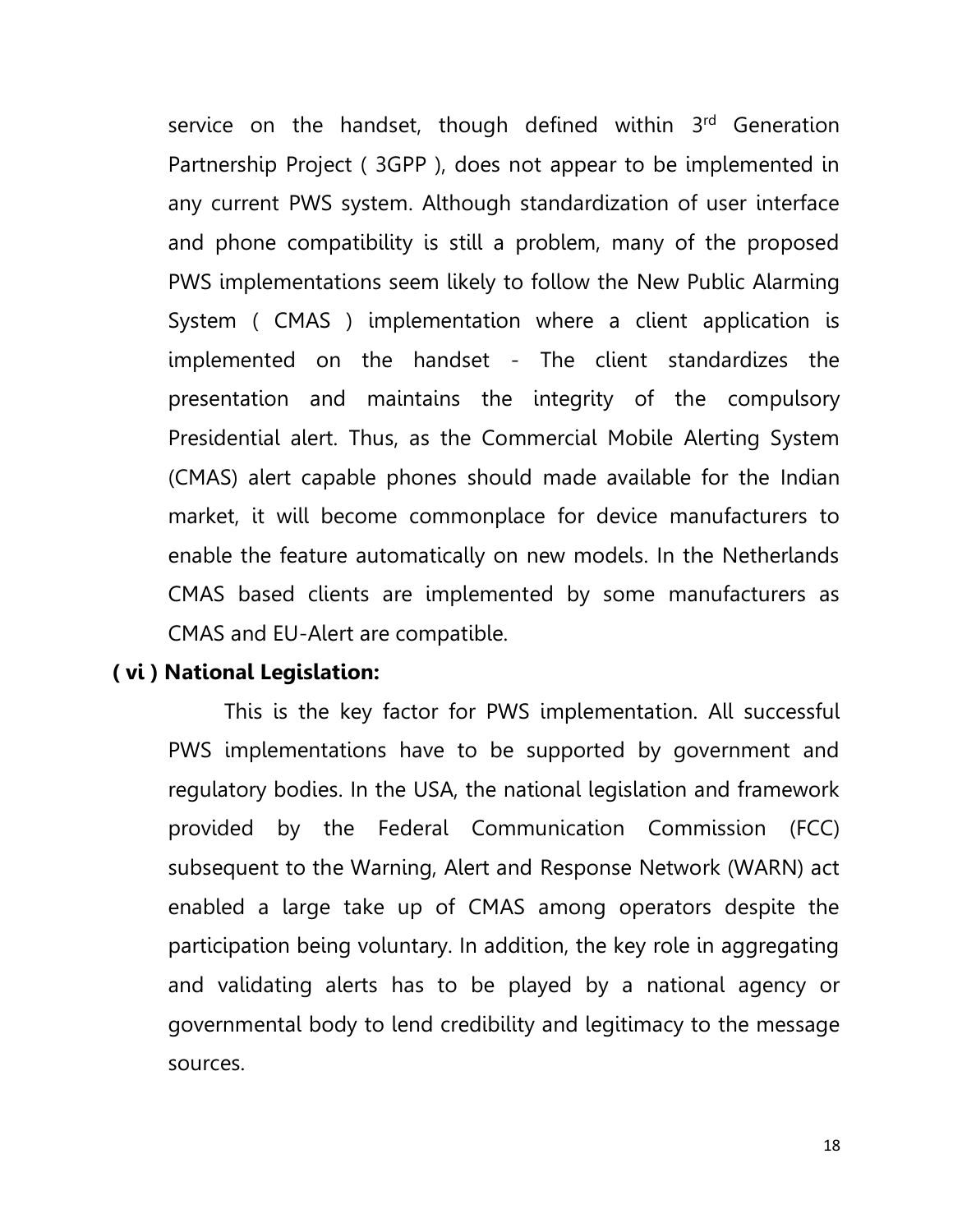service on the handset, though defined within 3<sup>rd</sup> Generation Partnership Project ( 3GPP ), does not appear to be implemented in any current PWS system. Although standardization of user interface and phone compatibility is still a problem, many of the proposed PWS implementations seem likely to follow the New Public Alarming System ( CMAS ) implementation where a client application is implemented on the handset - The client standardizes the presentation and maintains the integrity of the compulsory Presidential alert. Thus, as the Commercial Mobile Alerting System (CMAS) alert capable phones should made available for the Indian market, it will become commonplace for device manufacturers to enable the feature automatically on new models. In the Netherlands CMAS based clients are implemented by some manufacturers as CMAS and EU-Alert are compatible.

### **( vi ) National Legislation:**

This is the key factor for PWS implementation. All successful PWS implementations have to be supported by government and regulatory bodies. In the USA, the national legislation and framework provided by the Federal Communication Commission (FCC) subsequent to the Warning, Alert and Response Network (WARN) act enabled a large take up of CMAS among operators despite the participation being voluntary. In addition, the key role in aggregating and validating alerts has to be played by a national agency or governmental body to lend credibility and legitimacy to the message sources.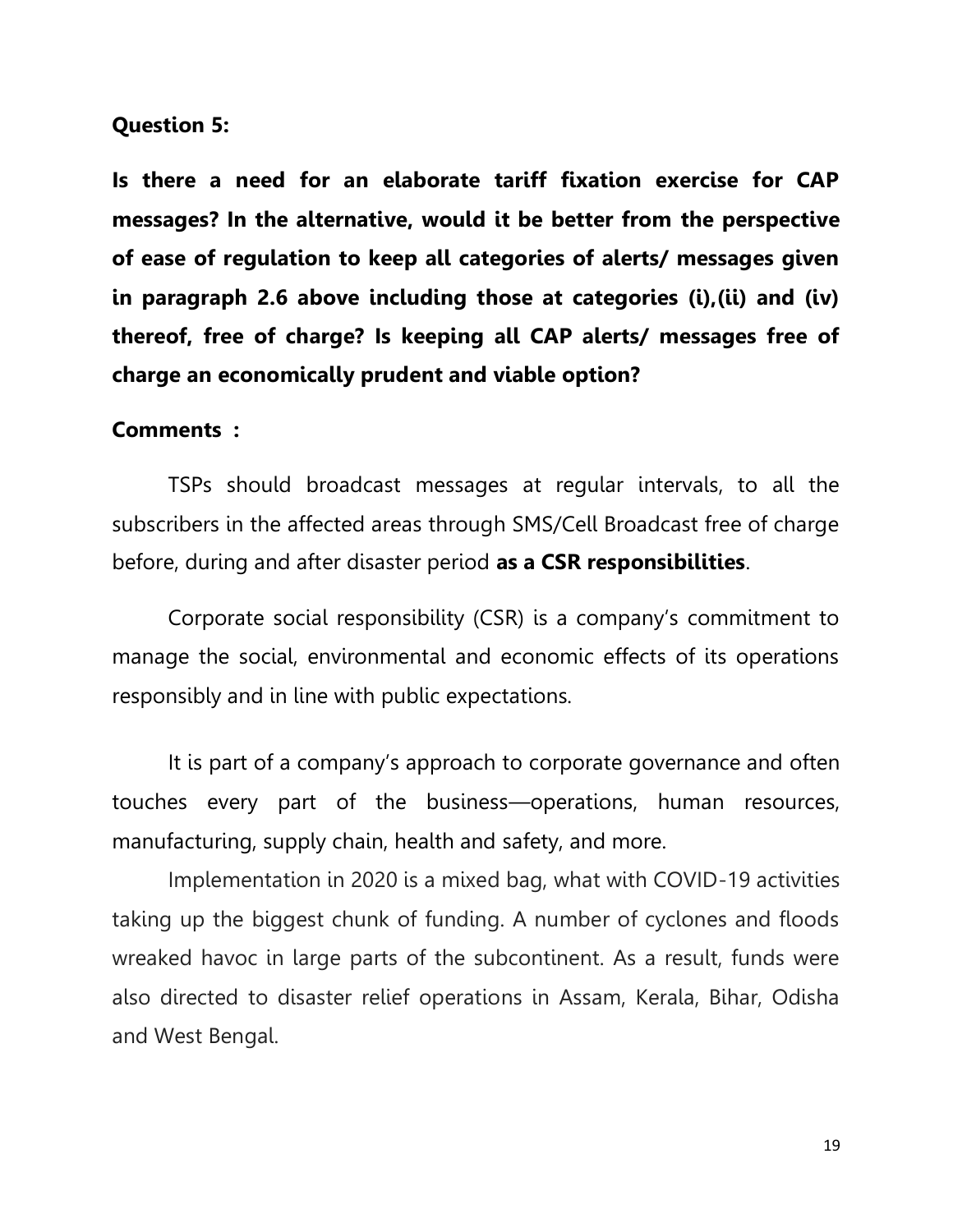#### **Question 5:**

**Is there a need for an elaborate tariff fixation exercise for CAP messages? In the alternative, would it be better from the perspective of ease of regulation to keep all categories of alerts/ messages given in paragraph 2.6 above including those at categories (i),(ii) and (iv) thereof, free of charge? Is keeping all CAP alerts/ messages free of charge an economically prudent and viable option?** 

#### **Comments :**

TSPs should broadcast messages at regular intervals, to all the subscribers in the affected areas through SMS/Cell Broadcast free of charge before, during and after disaster period **as a CSR responsibilities**.

Corporate social responsibility (CSR) is a company's commitment to manage the social, environmental and economic effects of its operations responsibly and in line with public expectations.

It is part of a company's approach to corporate [governance](https://www.bdc.ca/en/articles-tools/entrepreneur-toolkit/templates-business-guides/glossary/corporate-governance) and often touches every part of the business—operations, human resources, manufacturing, supply chain, health and safety, and more.

Implementation in 2020 is a mixed bag, what with COVID-19 activities taking up the biggest chunk of funding. A number of cyclones and floods wreaked havoc in large parts of the subcontinent. As a result, funds were also directed to disaster relief operations in Assam, Kerala, Bihar, Odisha and West Bengal.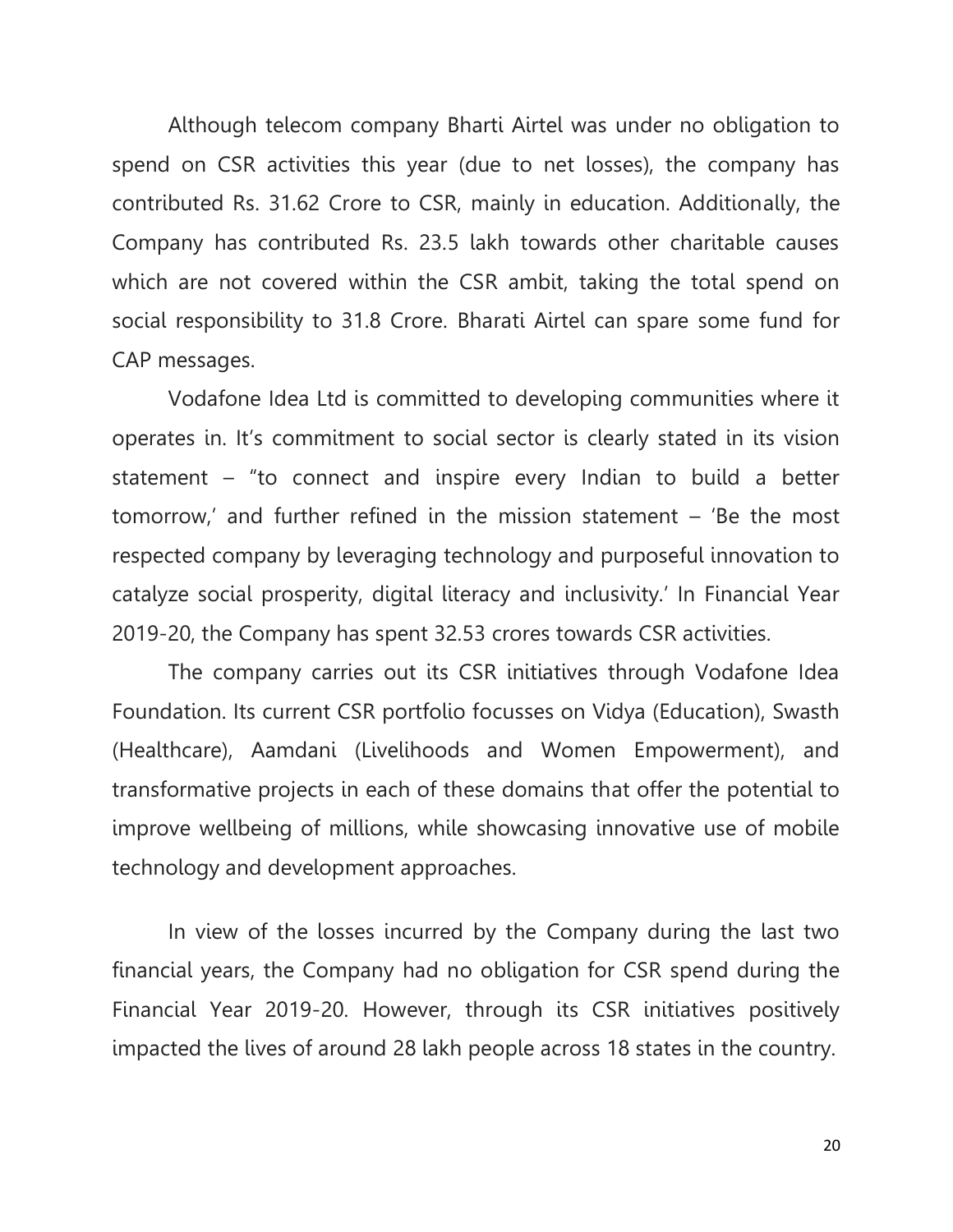Although telecom company Bharti Airtel was under no obligation to spend on CSR activities this year (due to net losses), the company has contributed Rs. 31.62 Crore to CSR, mainly in education. Additionally, the Company has contributed Rs. 23.5 lakh towards other charitable causes which are not covered within the CSR ambit, taking the total spend on social responsibility to 31.8 Crore. Bharati Airtel can spare some fund for CAP messages.

Vodafone Idea Ltd is committed to developing communities where it operates in. It's commitment to social sector is clearly stated in its vision statement – "to connect and inspire every Indian to build a better tomorrow,' and further refined in the mission statement – 'Be the most respected company by leveraging technology and purposeful innovation to catalyze social prosperity, digital literacy and inclusivity.' In Financial Year 2019-20, the Company has spent 32.53 crores towards CSR activities.

The company carries out its CSR initiatives through Vodafone Idea Foundation. Its current CSR portfolio focusses on Vidya (Education), Swasth (Healthcare), Aamdani (Livelihoods and Women Empowerment), and transformative projects in each of these domains that offer the potential to improve wellbeing of millions, while showcasing innovative use of mobile technology and development approaches.

In view of the losses incurred by the Company during the last two financial years, the Company had no obligation for CSR spend during the Financial Year 2019-20. However, through its CSR initiatives positively impacted the lives of around 28 lakh people across 18 states in the country.

20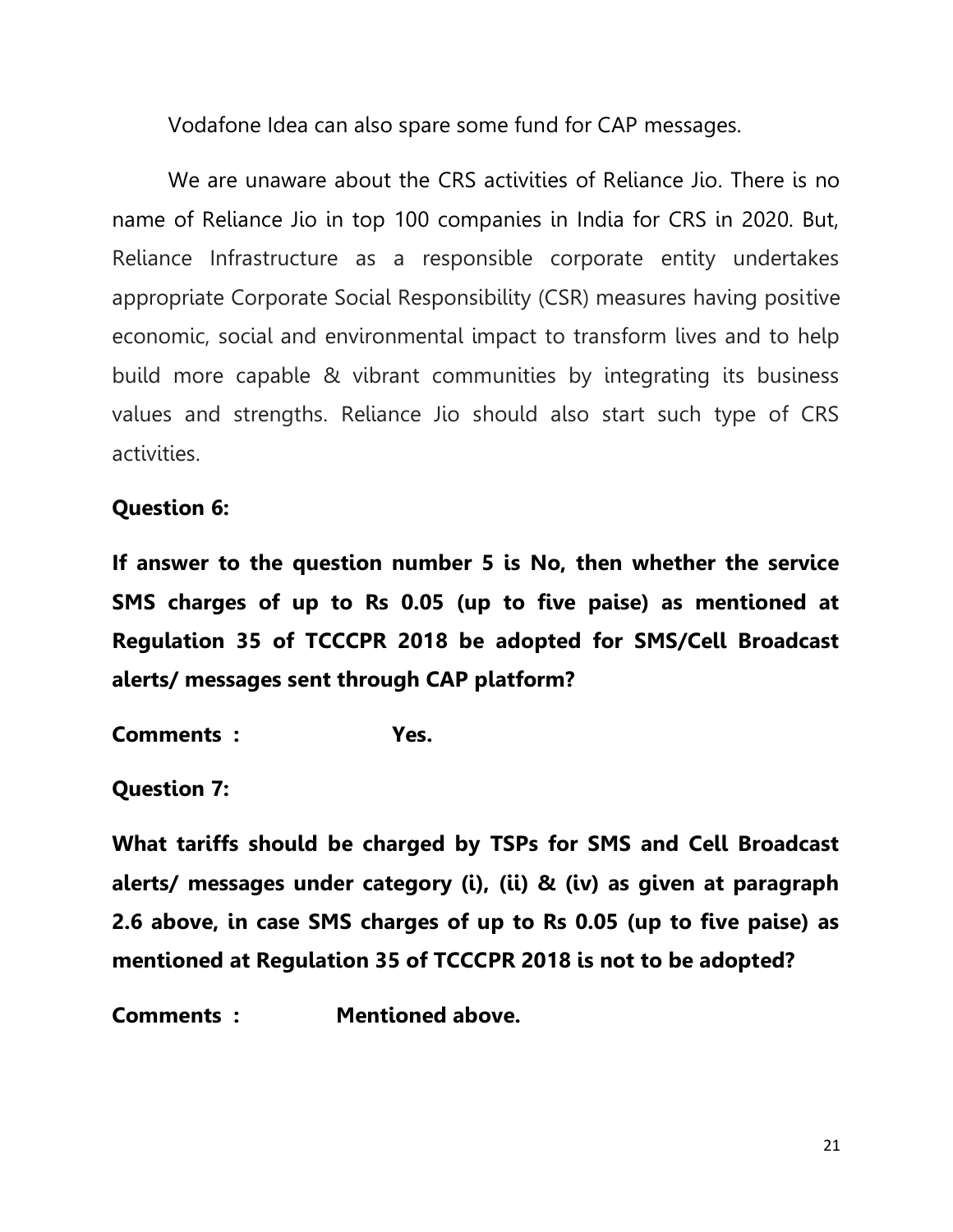Vodafone Idea can also spare some fund for CAP messages.

We are unaware about the CRS activities of Reliance Jio. There is no name of Reliance Jio in top 100 companies in India for CRS in 2020. But, Reliance Infrastructure as a responsible corporate entity undertakes appropriate Corporate Social Responsibility (CSR) measures having positive economic, social and environmental impact to transform lives and to help build more capable & vibrant communities by integrating its business values and strengths. Reliance Jio should also start such type of CRS activities.

## **Question 6:**

**If answer to the question number 5 is No, then whether the service SMS charges of up to Rs 0.05 (up to five paise) as mentioned at Regulation 35 of TCCCPR 2018 be adopted for SMS/Cell Broadcast alerts/ messages sent through CAP platform?** 

**Comments : Yes.**

**Question 7:** 

**What tariffs should be charged by TSPs for SMS and Cell Broadcast alerts/ messages under category (i), (ii) & (iv) as given at paragraph 2.6 above, in case SMS charges of up to Rs 0.05 (up to five paise) as mentioned at Regulation 35 of TCCCPR 2018 is not to be adopted?**

**Comments : Mentioned above.**